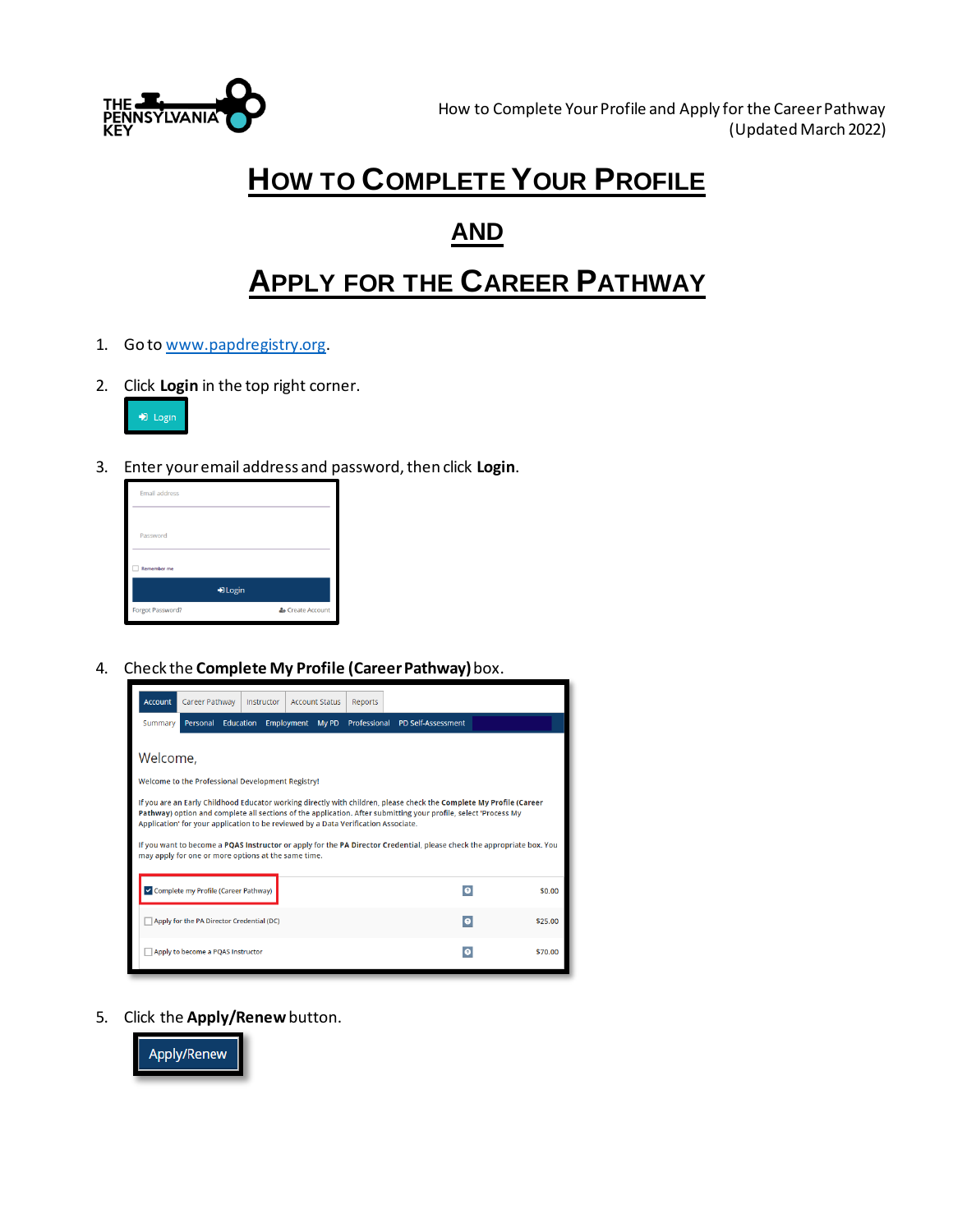

## **HOW TO COMPLETE YOUR PROFILE**

### **AND**

# **APPLY FOR THE CAREER PATHWAY**

- 1. Go t[o www.papdregistry.org](http://www.papdregistry.org/).
- 2. Click **Login** in the top right corner.



3. Enter your email address and password, then click **Login**.



4. Check the **Complete My Profile (Career Pathway)**box.



5. Click the **Apply/Renew**button.

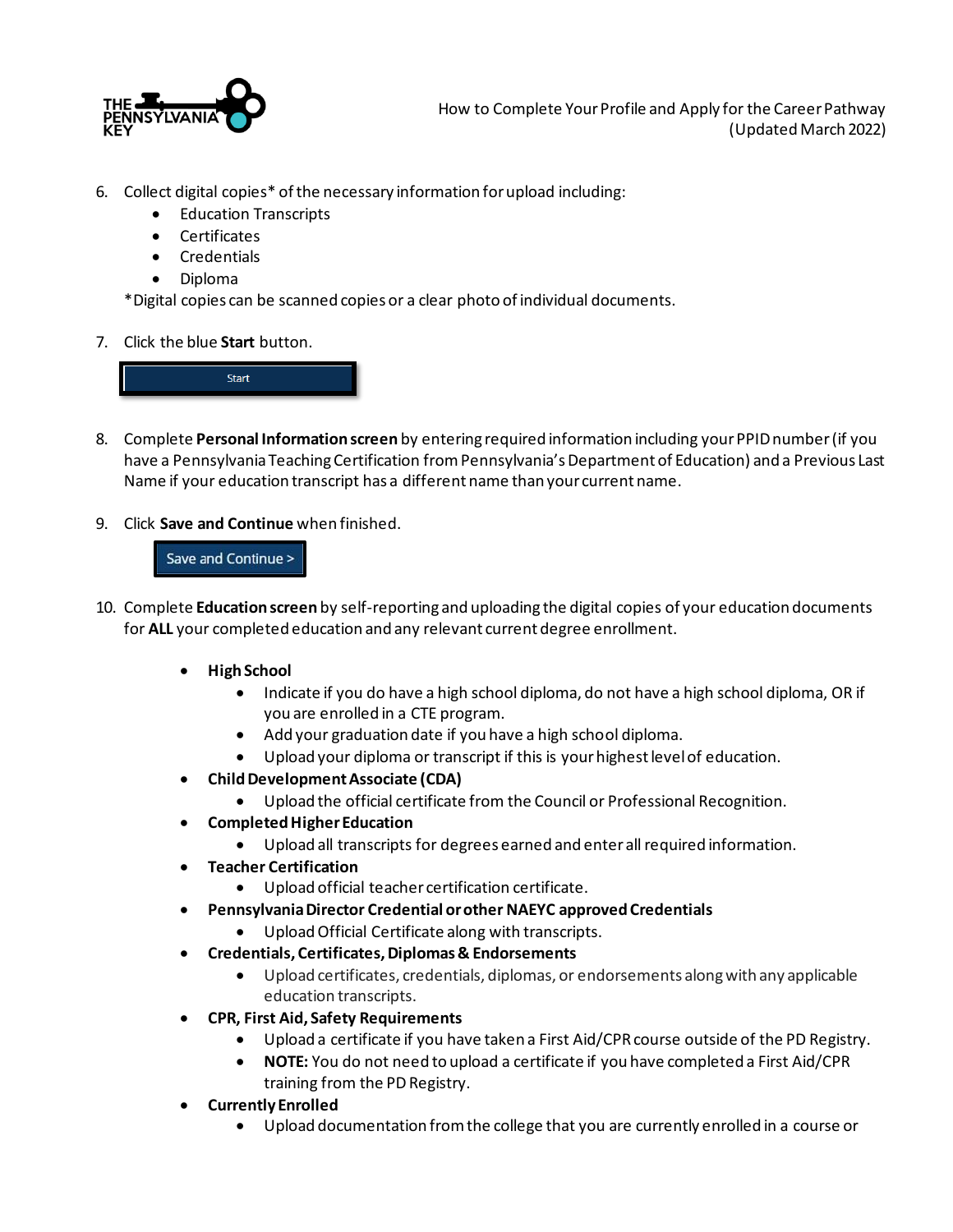

- 6. Collect digital copies\* of the necessary information for upload including:
	- Education Transcripts
	- Certificates
	- Credentials
	- Diploma

\*Digital copies can be scanned copies or a clear photo of individual documents.

7. Click the blue **Start** button.



- 8. Complete **Personal Information screen** by entering required information including your PPID number (if you have a Pennsylvania Teaching Certification from Pennsylvania's Department of Education) and a Previous Last Name if your education transcript has a different name than your current name.
- 9. Click **Save and Continue** when finished.

#### Save and Continue >

- 10. Complete **Education screen** by self-reporting and uploading the digital copies of your education documents for **ALL** your completed education and any relevant current degree enrollment.
	- **High School**
		- Indicate if you do have a high school diploma, do not have a high school diploma, OR if you are enrolled in a CTE program.
		- Add your graduation date if you have a high school diploma.
		- Upload your diploma or transcript if this is your highest level of education.
	- **Child Development Associate (CDA)**
		- Upload the official certificate from the Council or Professional Recognition.
	- **Completed Higher Education**
		- Upload all transcripts for degrees earned and enter all required information.
	- **Teacher Certification**
		- Upload official teacher certification certificate.
	- **Pennsylvania Director Credential or other NAEYC approved Credentials**
		- Upload Official Certificate along with transcripts.
	- **Credentials, Certificates, Diplomas & Endorsements**
		- Upload certificates, credentials, diplomas, or endorsements along with any applicable education transcripts.
	- **CPR, First Aid, Safety Requirements**
		- Upload a certificate if you have taken a First Aid/CPR course outside of the PD Registry.
		- **NOTE:** You do not need to upload a certificate if you have completed a First Aid/CPR training from the PDRegistry.
	- **Currently Enrolled**
		- Upload documentation from the college that you are currently enrolled in a course or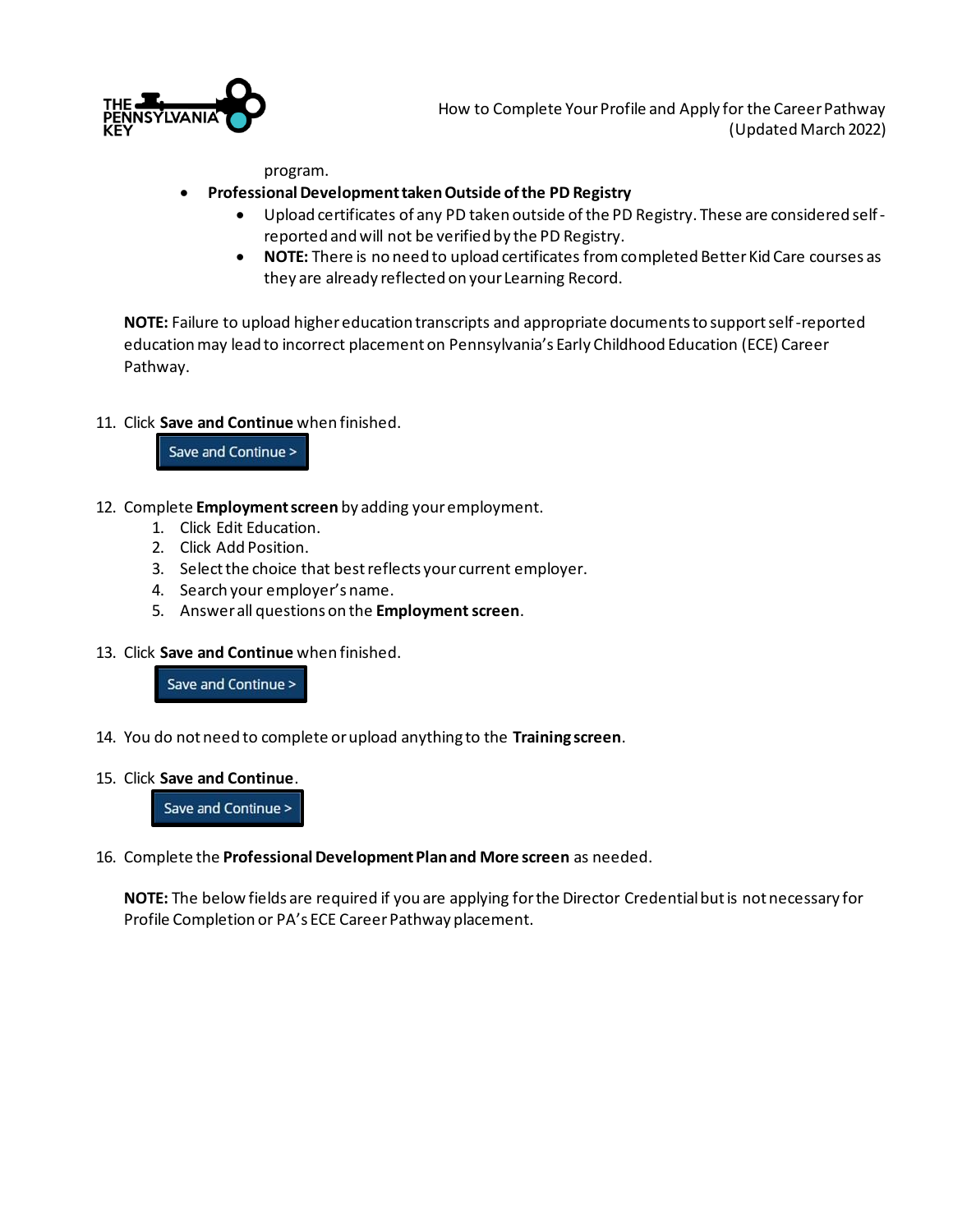

How to Complete Your Profile and Apply for the Career Pathway (Updated March 2022)

program.

#### • **Professional Development taken Outside of the PD Registry**

- Upload certificates of any PD taken outside of the PD Registry. These are considered selfreported and will not be verified by the PD Registry.
- **NOTE:** There is no need to upload certificates from completed Better Kid Care courses as they are already reflected on your Learning Record.

**NOTE:** Failure to upload higher education transcripts and appropriate documents to support self-reported education may lead to incorrect placement on Pennsylvania's Early Childhood Education (ECE) Career Pathway.

#### 11. Click **Save and Continue** when finished.

Save and Continue >

- 12. Complete **Employment screen** by adding your employment.
	- 1. Click Edit Education.
	- 2. Click Add Position.
	- 3. Select the choice that best reflects your current employer.
	- 4. Search your employer's name.
	- 5. Answer all questions on the **Employment screen**.
- 13. Click **Save and Continue** when finished.

Save and Continue >

- 14. You do not need to complete or upload anything to the **Training screen**.
- 15. Click **Save and Continue**.

Save and Continue >

16. Complete the **Professional Development Plan and More screen** as needed.

**NOTE:** The below fields are required if you are applying for the Director Credential but is not necessary for Profile Completion or PA's ECE Career Pathway placement.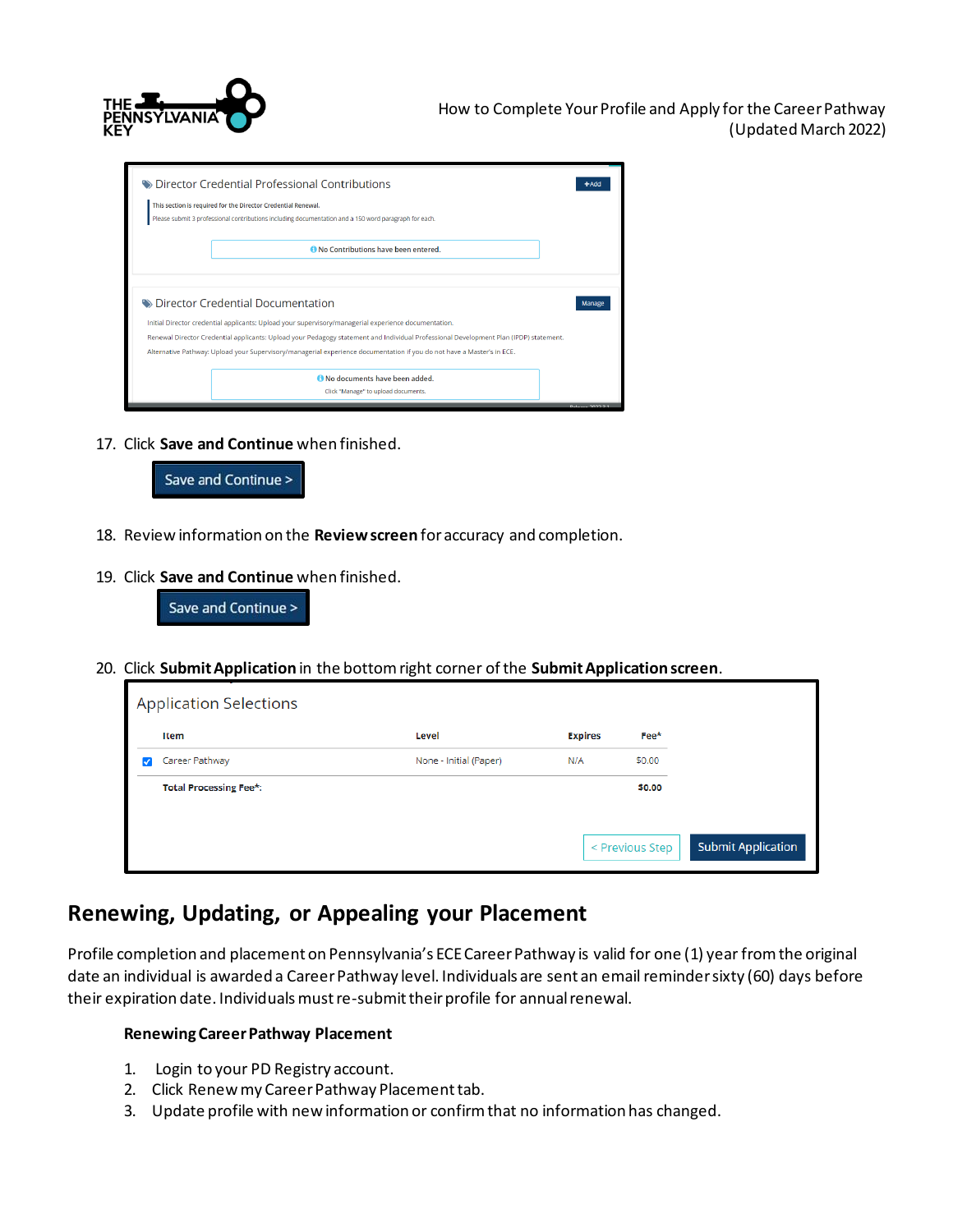

| ighthreator Credential Professional Contributions<br>This section is required for the Director Credential Renewal.<br>Please submit 3 professional contributions including documentation and a 150 word paragraph for each. | +Adc                                                                                                                                                                                                                                                                                                                                                                    |                         |
|-----------------------------------------------------------------------------------------------------------------------------------------------------------------------------------------------------------------------------|-------------------------------------------------------------------------------------------------------------------------------------------------------------------------------------------------------------------------------------------------------------------------------------------------------------------------------------------------------------------------|-------------------------|
|                                                                                                                                                                                                                             | No Contributions have been entered.                                                                                                                                                                                                                                                                                                                                     |                         |
| <b>Director Credential Documentation</b>                                                                                                                                                                                    | Manag                                                                                                                                                                                                                                                                                                                                                                   |                         |
|                                                                                                                                                                                                                             | Initial Director credential applicants: Upload your supervisory/managerial experience documentation.<br>Renewal Director Credential applicants: Upload your Pedagogy statement and Individual Professional Development Plan (IPDP) statement.<br>Alternative Pathway: Upload your Supervisory/managerial experience documentation if you do not have a Master's in ECE. |                         |
|                                                                                                                                                                                                                             | No documents have been added.<br>Click "Manage" to upload documents.                                                                                                                                                                                                                                                                                                    | <b>Pelosco 2022.2.1</b> |

17. Click **Save and Continue** when finished.



- 18. Review information on the **Review screen** for accuracy and completion.
- 19. Click **Save and Continue** when finished.



20. Click **Submit Application** in the bottom right corner of the **Submit Application screen**.

| <b>Application Selections</b> |                        |                |                 |                           |
|-------------------------------|------------------------|----------------|-----------------|---------------------------|
| Item                          | Level                  | <b>Expires</b> | $Fee*$          |                           |
| Career Pathway                | None - Initial (Paper) | N/A            | \$0.00          |                           |
| <b>Total Processing Fee*:</b> |                        |                | \$0.00          |                           |
|                               |                        |                |                 |                           |
|                               |                        |                | < Previous Step | <b>Submit Application</b> |
|                               |                        |                |                 |                           |

### **Renewing, Updating, or Appealing your Placement**

Profile completion and placement on Pennsylvania's ECE Career Pathway is valid for one (1) year from the original date an individual is awarded a Career Pathway level. Individuals are sent an email reminder sixty (60) days before their expiration date. Individuals must re-submit their profile for annual renewal.

#### **Renewing Career Pathway Placement**

- 1. Login to your PD Registry account.
- 2. Click Renew my Career Pathway Placement tab.
- 3. Update profile with new information or confirm that no information has changed.